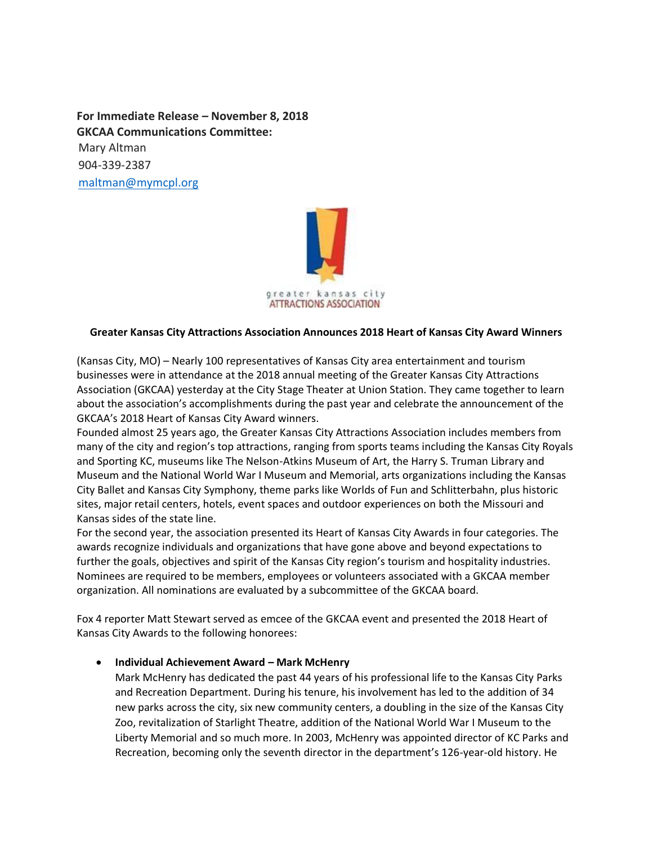**For Immediate Release – November 8, 2018 GKCAA Communications Committee:**  Mary Altman 904-339-2387 [maltman@mymcpl.org](mailto:maltman@mymcpl.org)



#### **Greater Kansas City Attractions Association Announces 2018 Heart of Kansas City Award Winners**

(Kansas City, MO) – Nearly 100 representatives of Kansas City area entertainment and tourism businesses were in attendance at the 2018 annual meeting of the Greater Kansas City Attractions Association (GKCAA) yesterday at the City Stage Theater at Union Station. They came together to learn about the association's accomplishments during the past year and celebrate the announcement of the GKCAA's 2018 Heart of Kansas City Award winners.

Founded almost 25 years ago, the Greater Kansas City Attractions Association includes members from many of the city and region's top attractions, ranging from sports teams including the Kansas City Royals and Sporting KC, museums like The Nelson-Atkins Museum of Art, the Harry S. Truman Library and Museum and the National World War I Museum and Memorial, arts organizations including the Kansas City Ballet and Kansas City Symphony, theme parks like Worlds of Fun and Schlitterbahn, plus historic sites, major retail centers, hotels, event spaces and outdoor experiences on both the Missouri and Kansas sides of the state line.

For the second year, the association presented its Heart of Kansas City Awards in four categories. The awards recognize individuals and organizations that have gone above and beyond expectations to further the goals, objectives and spirit of the Kansas City region's tourism and hospitality industries. Nominees are required to be members, employees or volunteers associated with a GKCAA member organization. All nominations are evaluated by a subcommittee of the GKCAA board.

Fox 4 reporter Matt Stewart served as emcee of the GKCAA event and presented the 2018 Heart of Kansas City Awards to the following honorees:

• **Individual Achievement Award – Mark McHenry**

Mark McHenry has dedicated the past 44 years of his professional life to the Kansas City Parks and Recreation Department. During his tenure, his involvement has led to the addition of 34 new parks across the city, six new community centers, a doubling in the size of the Kansas City Zoo, revitalization of Starlight Theatre, addition of the National World War I Museum to the Liberty Memorial and so much more. In 2003, McHenry was appointed director of KC Parks and Recreation, becoming only the seventh director in the department's 126-year-old history. He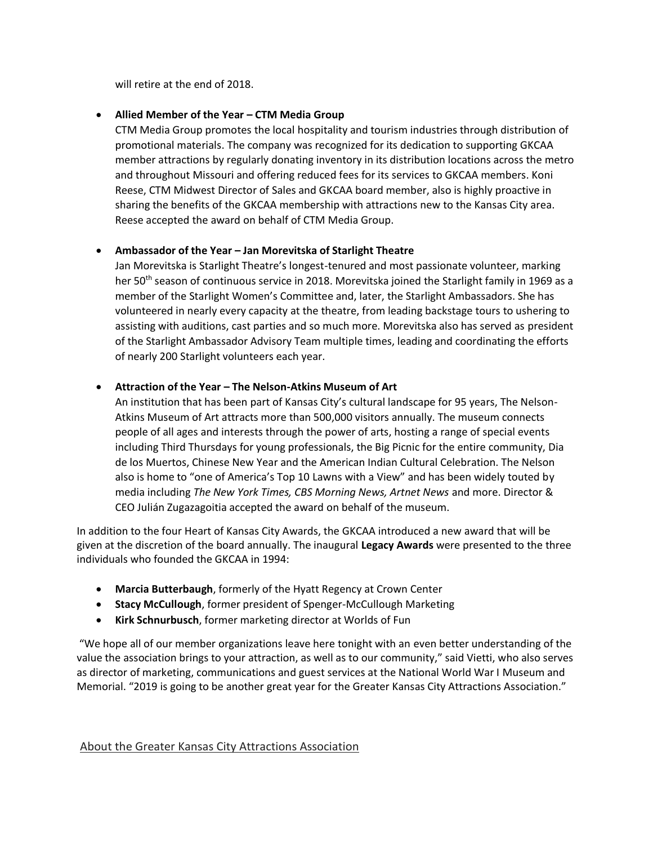will retire at the end of 2018.

# • **Allied Member of the Year – CTM Media Group**

CTM Media Group promotes the local hospitality and tourism industries through distribution of promotional materials. The company was recognized for its dedication to supporting GKCAA member attractions by regularly donating inventory in its distribution locations across the metro and throughout Missouri and offering reduced fees for its services to GKCAA members. Koni Reese, CTM Midwest Director of Sales and GKCAA board member, also is highly proactive in sharing the benefits of the GKCAA membership with attractions new to the Kansas City area. Reese accepted the award on behalf of CTM Media Group.

## • **Ambassador of the Year – Jan Morevitska of Starlight Theatre**

Jan Morevitska is Starlight Theatre's longest-tenured and most passionate volunteer, marking her 50<sup>th</sup> season of continuous service in 2018. Morevitska joined the Starlight family in 1969 as a member of the Starlight Women's Committee and, later, the Starlight Ambassadors. She has volunteered in nearly every capacity at the theatre, from leading backstage tours to ushering to assisting with auditions, cast parties and so much more. Morevitska also has served as president of the Starlight Ambassador Advisory Team multiple times, leading and coordinating the efforts of nearly 200 Starlight volunteers each year.

## • **Attraction of the Year – The Nelson-Atkins Museum of Art**

An institution that has been part of Kansas City's cultural landscape for 95 years, The Nelson-Atkins Museum of Art attracts more than 500,000 visitors annually. The museum connects people of all ages and interests through the power of arts, hosting a range of special events including Third Thursdays for young professionals, the Big Picnic for the entire community, Dia de los Muertos, Chinese New Year and the American Indian Cultural Celebration. The Nelson also is home to "one of America's Top 10 Lawns with a View" and has been widely touted by media including *The New York Times, CBS Morning News, Artnet News* and more. Director & CEO Julián Zugazagoitia accepted the award on behalf of the museum.

In addition to the four Heart of Kansas City Awards, the GKCAA introduced a new award that will be given at the discretion of the board annually. The inaugural **Legacy Awards** were presented to the three individuals who founded the GKCAA in 1994:

- **Marcia Butterbaugh**, formerly of the Hyatt Regency at Crown Center
- **Stacy McCullough**, former president of Spenger-McCullough Marketing
- **Kirk Schnurbusch**, former marketing director at Worlds of Fun

"We hope all of our member organizations leave here tonight with an even better understanding of the value the association brings to your attraction, as well as to our community," said Vietti, who also serves as director of marketing, communications and guest services at the National World War I Museum and Memorial. "2019 is going to be another great year for the Greater Kansas City Attractions Association."

#### About the Greater Kansas City Attractions Association